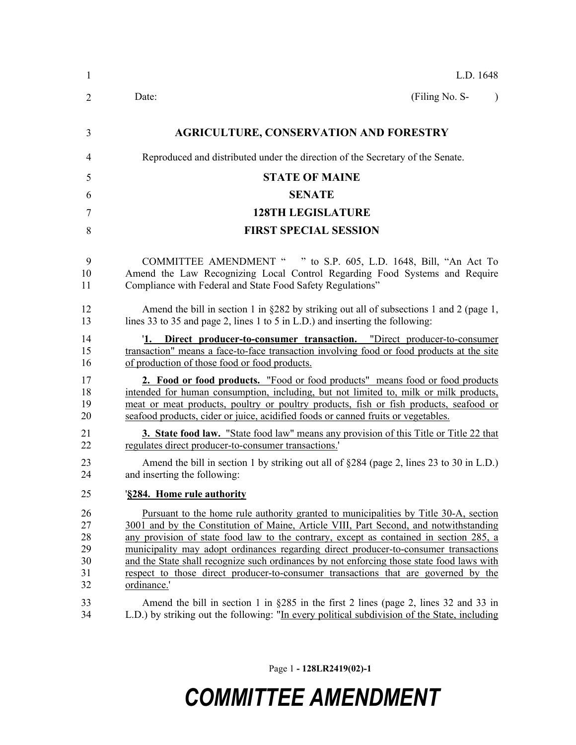| $\mathbf{1}$                           | L.D. 1648                                                                                                                                                                                                                                                                                                                                                                                                                                                                                                                                                                |
|----------------------------------------|--------------------------------------------------------------------------------------------------------------------------------------------------------------------------------------------------------------------------------------------------------------------------------------------------------------------------------------------------------------------------------------------------------------------------------------------------------------------------------------------------------------------------------------------------------------------------|
| 2                                      | (Filing No. S-<br>Date:<br>$\lambda$                                                                                                                                                                                                                                                                                                                                                                                                                                                                                                                                     |
| 3                                      | <b>AGRICULTURE, CONSERVATION AND FORESTRY</b>                                                                                                                                                                                                                                                                                                                                                                                                                                                                                                                            |
| 4                                      | Reproduced and distributed under the direction of the Secretary of the Senate.                                                                                                                                                                                                                                                                                                                                                                                                                                                                                           |
| 5                                      | <b>STATE OF MAINE</b>                                                                                                                                                                                                                                                                                                                                                                                                                                                                                                                                                    |
| 6                                      | <b>SENATE</b>                                                                                                                                                                                                                                                                                                                                                                                                                                                                                                                                                            |
| 7                                      | <b>128TH LEGISLATURE</b>                                                                                                                                                                                                                                                                                                                                                                                                                                                                                                                                                 |
| 8                                      | <b>FIRST SPECIAL SESSION</b>                                                                                                                                                                                                                                                                                                                                                                                                                                                                                                                                             |
| 9<br>10<br>11                          | COMMITTEE AMENDMENT " " to S.P. 605, L.D. 1648, Bill, "An Act To<br>Amend the Law Recognizing Local Control Regarding Food Systems and Require<br>Compliance with Federal and State Food Safety Regulations"                                                                                                                                                                                                                                                                                                                                                             |
| 12<br>13                               | Amend the bill in section 1 in §282 by striking out all of subsections 1 and 2 (page 1,<br>lines 33 to 35 and page 2, lines 1 to 5 in L.D.) and inserting the following:                                                                                                                                                                                                                                                                                                                                                                                                 |
| 14<br>15<br>16                         | '1. Direct producer-to-consumer transaction. "Direct producer-to-consumer<br>transaction" means a face-to-face transaction involving food or food products at the site<br>of production of those food or food products.                                                                                                                                                                                                                                                                                                                                                  |
| 17<br>18<br>19<br>20                   | 2. Food or food products. "Food or food products" means food or food products<br>intended for human consumption, including, but not limited to, milk or milk products,<br>meat or meat products, poultry or poultry products, fish or fish products, seafood or<br>seafood products, cider or juice, acidified foods or canned fruits or vegetables.                                                                                                                                                                                                                     |
| 21<br>22                               | <b>3. State food law.</b> "State food law" means any provision of this Title or Title 22 that<br>regulates direct producer-to-consumer transactions.'                                                                                                                                                                                                                                                                                                                                                                                                                    |
| 23<br>24                               | Amend the bill in section 1 by striking out all of $\S 284$ (page 2, lines 23 to 30 in L.D.)<br>and inserting the following:                                                                                                                                                                                                                                                                                                                                                                                                                                             |
| 25                                     | §284. Home rule authority                                                                                                                                                                                                                                                                                                                                                                                                                                                                                                                                                |
| 26<br>27<br>28<br>29<br>30<br>31<br>32 | <u>Pursuant to the home rule authority granted to municipalities by Title 30-A, section</u><br>3001 and by the Constitution of Maine, Article VIII, Part Second, and notwithstanding<br>any provision of state food law to the contrary, except as contained in section 285, a<br>municipality may adopt ordinances regarding direct producer-to-consumer transactions<br>and the State shall recognize such ordinances by not enforcing those state food laws with<br>respect to those direct producer-to-consumer transactions that are governed by the<br>ordinance.' |
| 33<br>34                               | Amend the bill in section 1 in $\S 285$ in the first 2 lines (page 2, lines 32 and 33 in<br>L.D.) by striking out the following: "In every political subdivision of the State, including                                                                                                                                                                                                                                                                                                                                                                                 |

Page 1 **- 128LR2419(02)-1**

## *COMMITTEE AMENDMENT*